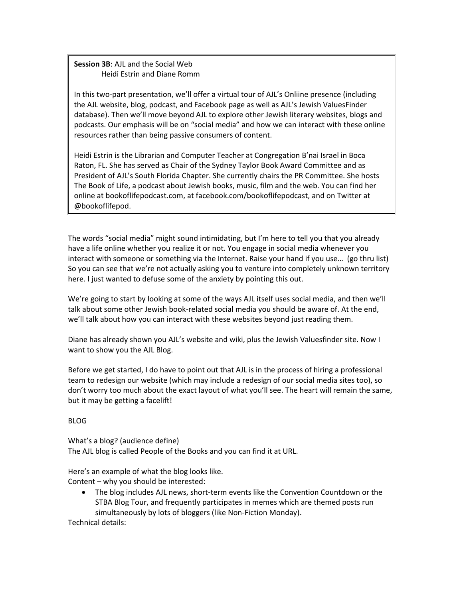# **Session 3B**: AJL and the Social Web Heidi Estrin and Diane Romm

In this two-part presentation, we'll offer a virtual tour of AJL's Onliine presence (including the AJL website, blog, podcast, and Facebook page as well as AJL's Jewish ValuesFinder database). Then we'll move beyond AJL to explore other Jewish literary websites, blogs and podcasts. Our emphasis will be on "social media" and how we can interact with these online resources rather than being passive consumers of content.

Heidi Estrin is the Librarian and Computer Teacher at Congregation B'nai Israel in Boca Raton, FL. She has served as Chair of the Sydney Taylor Book Award Committee and as President of AJL's South Florida Chapter. She currently chairs the PR Committee. She hosts The Book of Life, a podcast about Jewish books, music, film and the web. You can find her online at bookoflifepodcast.com, at facebook.com/bookoflifepodcast, and on Twitter at @bookoflifepod.

The words "social media" might sound intimidating, but I'm here to tell you that you already have a life online whether you realize it or not. You engage in social media whenever you interact with someone or something via the Internet. Raise your hand if you use… (go thru list) So you can see that we're not actually asking you to venture into completely unknown territory here. I just wanted to defuse some of the anxiety by pointing this out.

We're going to start by looking at some of the ways AJL itself uses social media, and then we'll talk about some other Jewish book-related social media you should be aware of. At the end, we'll talk about how you can interact with these websites beyond just reading them.

Diane has already shown you AJL's website and wiki, plus the Jewish Valuesfinder site. Now I want to show you the AJL Blog.

Before we get started, I do have to point out that AJL is in the process of hiring a professional team to redesign our website (which may include a redesign of our social media sites too), so don't worry too much about the exact layout of what you'll see. The heart will remain the same, but it may be getting a facelift!

BLOG

What's a blog? (audience define) The AJL blog is called People of the Books and you can find it at URL.

Here's an example of what the blog looks like. Content – why you should be interested:

 The blog includes AJL news, short-term events like the Convention Countdown or the STBA Blog Tour, and frequently participates in memes which are themed posts run simultaneously by lots of bloggers (like Non-Fiction Monday).

Technical details: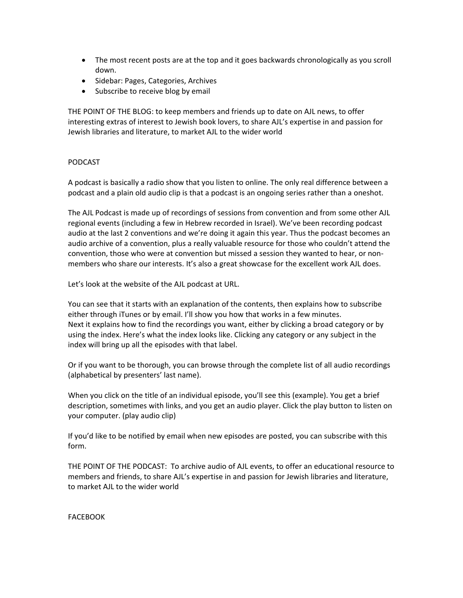- The most recent posts are at the top and it goes backwards chronologically as you scroll down.
- Sidebar: Pages, Categories, Archives
- Subscribe to receive blog by email

THE POINT OF THE BLOG: to keep members and friends up to date on AJL news, to offer interesting extras of interest to Jewish book lovers, to share AJL's expertise in and passion for Jewish libraries and literature, to market AJL to the wider world

### PODCAST

A podcast is basically a radio show that you listen to online. The only real difference between a podcast and a plain old audio clip is that a podcast is an ongoing series rather than a oneshot.

The AJL Podcast is made up of recordings of sessions from convention and from some other AJL regional events (including a few in Hebrew recorded in Israel). We've been recording podcast audio at the last 2 conventions and we're doing it again this year. Thus the podcast becomes an audio archive of a convention, plus a really valuable resource for those who couldn't attend the convention, those who were at convention but missed a session they wanted to hear, or nonmembers who share our interests. It's also a great showcase for the excellent work AJL does.

Let's look at the website of the AJL podcast at URL.

You can see that it starts with an explanation of the contents, then explains how to subscribe either through iTunes or by email. I'll show you how that works in a few minutes. Next it explains how to find the recordings you want, either by clicking a broad category or by using the index. Here's what the index looks like. Clicking any category or any subject in the index will bring up all the episodes with that label.

Or if you want to be thorough, you can browse through the complete list of all audio recordings (alphabetical by presenters' last name).

When you click on the title of an individual episode, you'll see this (example). You get a brief description, sometimes with links, and you get an audio player. Click the play button to listen on your computer. (play audio clip)

If you'd like to be notified by email when new episodes are posted, you can subscribe with this form.

THE POINT OF THE PODCAST: To archive audio of AJL events, to offer an educational resource to members and friends, to share AJL's expertise in and passion for Jewish libraries and literature, to market AJL to the wider world

**FACEBOOK**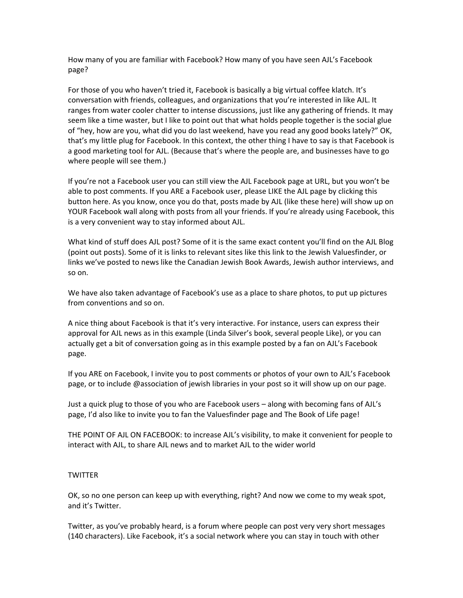How many of you are familiar with Facebook? How many of you have seen AJL's Facebook page?

For those of you who haven't tried it, Facebook is basically a big virtual coffee klatch. It's conversation with friends, colleagues, and organizations that you're interested in like AJL. It ranges from water cooler chatter to intense discussions, just like any gathering of friends. It may seem like a time waster, but I like to point out that what holds people together is the social glue of "hey, how are you, what did you do last weekend, have you read any good books lately?" OK, that's my little plug for Facebook. In this context, the other thing I have to say is that Facebook is a good marketing tool for AJL. (Because that's where the people are, and businesses have to go where people will see them.)

If you're not a Facebook user you can still view the AJL Facebook page at URL, but you won't be able to post comments. If you ARE a Facebook user, please LIKE the AJL page by clicking this button here. As you know, once you do that, posts made by AJL (like these here) will show up on YOUR Facebook wall along with posts from all your friends. If you're already using Facebook, this is a very convenient way to stay informed about AJL.

What kind of stuff does AJL post? Some of it is the same exact content you'll find on the AJL Blog (point out posts). Some of it is links to relevant sites like this link to the Jewish Valuesfinder, or links we've posted to news like the Canadian Jewish Book Awards, Jewish author interviews, and so on.

We have also taken advantage of Facebook's use as a place to share photos, to put up pictures from conventions and so on.

A nice thing about Facebook is that it's very interactive. For instance, users can express their approval for AJL news as in this example (Linda Silver's book, several people Like), or you can actually get a bit of conversation going as in this example posted by a fan on AJL's Facebook page.

If you ARE on Facebook, I invite you to post comments or photos of your own to AJL's Facebook page, or to include @association of jewish libraries in your post so it will show up on our page.

Just a quick plug to those of you who are Facebook users – along with becoming fans of AJL's page, I'd also like to invite you to fan the Valuesfinder page and The Book of Life page!

THE POINT OF AJL ON FACEBOOK: to increase AJL's visibility, to make it convenient for people to interact with AJL, to share AJL news and to market AJL to the wider world

#### **TWITTER**

OK, so no one person can keep up with everything, right? And now we come to my weak spot, and it's Twitter.

Twitter, as you've probably heard, is a forum where people can post very very short messages (140 characters). Like Facebook, it's a social network where you can stay in touch with other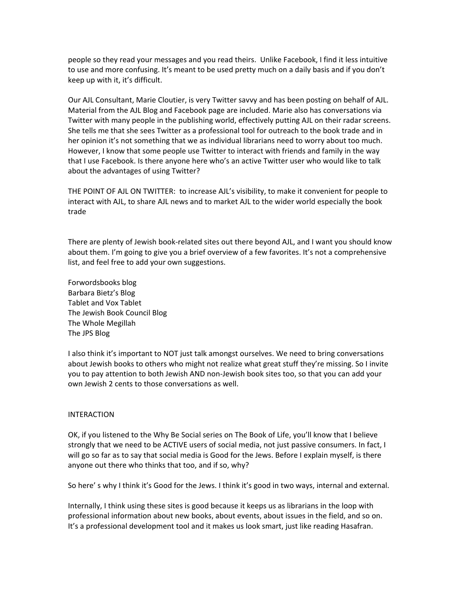people so they read your messages and you read theirs. Unlike Facebook, I find it less intuitive to use and more confusing. It's meant to be used pretty much on a daily basis and if you don't keep up with it, it's difficult.

Our AJL Consultant, Marie Cloutier, is very Twitter savvy and has been posting on behalf of AJL. Material from the AJL Blog and Facebook page are included. Marie also has conversations via Twitter with many people in the publishing world, effectively putting AJL on their radar screens. She tells me that she sees Twitter as a professional tool for outreach to the book trade and in her opinion it's not something that we as individual librarians need to worry about too much. However, I know that some people use Twitter to interact with friends and family in the way that I use Facebook. Is there anyone here who's an active Twitter user who would like to talk about the advantages of using Twitter?

THE POINT OF AJL ON TWITTER: to increase AJL's visibility, to make it convenient for people to interact with AJL, to share AJL news and to market AJL to the wider world especially the book trade

There are plenty of Jewish book-related sites out there beyond AJL, and I want you should know about them. I'm going to give you a brief overview of a few favorites. It's not a comprehensive list, and feel free to add your own suggestions.

Forwordsbooks blog Barbara Bietz's Blog Tablet and Vox Tablet The Jewish Book Council Blog The Whole Megillah The JPS Blog

I also think it's important to NOT just talk amongst ourselves. We need to bring conversations about Jewish books to others who might not realize what great stuff they're missing. So I invite you to pay attention to both Jewish AND non-Jewish book sites too, so that you can add your own Jewish 2 cents to those conversations as well.

#### INTERACTION

OK, if you listened to the Why Be Social series on The Book of Life, you'll know that I believe strongly that we need to be ACTIVE users of social media, not just passive consumers. In fact, I will go so far as to say that social media is Good for the Jews. Before I explain myself, is there anyone out there who thinks that too, and if so, why?

So here' s why I think it's Good for the Jews. I think it's good in two ways, internal and external.

Internally, I think using these sites is good because it keeps us as librarians in the loop with professional information about new books, about events, about issues in the field, and so on. It's a professional development tool and it makes us look smart, just like reading Hasafran.